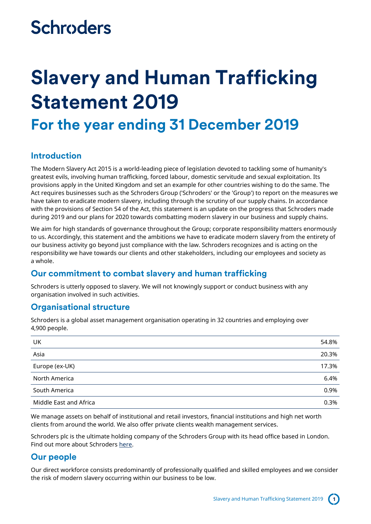## **Schroders**

# **Slavery and Human Trafficking Statement 2019**

### **For the year ending 31 December 2019**

#### **Introduction**

The Modern Slavery Act 2015 is a world-leading piece of legislation devoted to tackling some of humanity's greatest evils, involving human trafficking, forced labour, domestic servitude and sexual exploitation. Its provisions apply in the United Kingdom and set an example for other countries wishing to do the same. The Act requires businesses such as the Schroders Group ('Schroders' or the 'Group') to report on the measures we have taken to eradicate modern slavery, including through the scrutiny of our supply chains. In accordance with the provisions of Section 54 of the Act, this statement is an update on the progress that Schroders made during 2019 and our plans for 2020 towards combatting modern slavery in our business and supply chains.

We aim for high standards of governance throughout the Group; corporate responsibility matters enormously to us. Accordingly, this statement and the ambitions we have to eradicate modern slavery from the entirety of our business activity go beyond just compliance with the law. Schroders recognizes and is acting on the responsibility we have towards our clients and other stakeholders, including our employees and society as a whole.

#### **Our commitment to combat slavery and human trafficking**

Schroders is utterly opposed to slavery. We will not knowingly support or conduct business with any organisation involved in such activities.

#### **Organisational structure**

Schroders is a global asset management organisation operating in 32 countries and employing over 4,900 people.

| UK                     | 54.8% |
|------------------------|-------|
| Asia                   | 20.3% |
| Europe (ex-UK)         | 17.3% |
| North America          | 6.4%  |
| South America          | 0.9%  |
| Middle East and Africa | 0.3%  |

We manage assets on behalf of institutional and retail investors, financial institutions and high net worth clients from around the world. We also offer private clients wealth management services.

Schroders plc is the ultimate holding company of the Schroders Group with its head office based in London. Find out more about Schroders [here.](https://www.schroders.com/en/)

### **Our people**

Our direct workforce consists predominantly of professionally qualified and skilled employees and we consider the risk of modern slavery occurring within our business to be low.

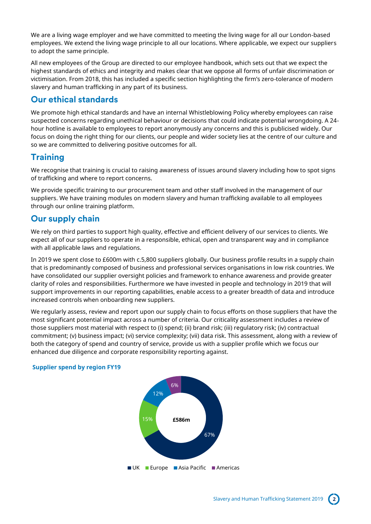We are a living wage employer and we have committed to meeting the living wage for all our London-based employees. We extend the living wage principle to all our locations. Where applicable, we expect our suppliers to adopt the same principle.

All new employees of the Group are directed to our employee handbook, which sets out that we expect the highest standards of ethics and integrity and makes clear that we oppose all forms of unfair discrimination or victimisation. From 2018, this has included a specific section highlighting the firm's zero-tolerance of modern slavery and human trafficking in any part of its business.

#### **Our ethical standards**

We promote high ethical standards and have an internal Whistleblowing Policy whereby employees can raise suspected concerns regarding unethical behaviour or decisions that could indicate potential wrongdoing. A 24 hour hotline is available to employees to report anonymously any concerns and this is publicised widely. Our focus on doing the right thing for our clients, our people and wider society lies at the centre of our culture and so we are committed to delivering positive outcomes for all.

### **Training**

We recognise that training is crucial to raising awareness of issues around slavery including how to spot signs of trafficking and where to report concerns.

We provide specific training to our procurement team and other staff involved in the management of our suppliers. We have training modules on modern slavery and human trafficking available to all employees through our online training platform.

### **Our supply chain**

We rely on third parties to support high quality, effective and efficient delivery of our services to clients. We expect all of our suppliers to operate in a responsible, ethical, open and transparent way and in compliance with all applicable laws and regulations.

In 2019 we spent close to £600m with c.5,800 suppliers globally. Our business profile results in a supply chain that is predominantly composed of business and professional services organisations in low risk countries. We have consolidated our supplier oversight policies and framework to enhance awareness and provide greater clarity of roles and responsibilities. Furthermore we have invested in people and technology in 2019 that will support improvements in our reporting capabilities, enable access to a greater breadth of data and introduce increased controls when onboarding new suppliers.

We regularly assess, review and report upon our supply chain to focus efforts on those suppliers that have the most significant potential impact across a number of criteria. Our criticality assessment includes a review of those suppliers most material with respect to (i) spend; (ii) brand risk; (iii) regulatory risk; (iv) contractual commitment; (v) business impact; (vi) service complexity; (vii) data risk. This assessment, along with a review of both the category of spend and country of service, provide us with a supplier profile which we focus our enhanced due diligence and corporate responsibility reporting against.

#### **Supplier spend by region FY19**



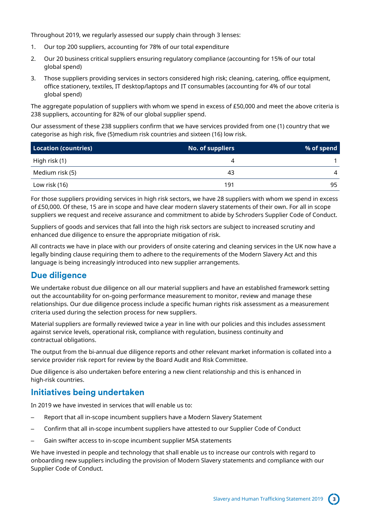Throughout 2019, we regularly assessed our supply chain through 3 lenses:

- 1. Our top 200 suppliers, accounting for 78% of our total expenditure
- 2. Our 20 business critical suppliers ensuring regulatory compliance (accounting for 15% of our total global spend)
- 3. Those suppliers providing services in sectors considered high risk; cleaning, catering, office equipment, office stationery, textiles, IT desktop/laptops and IT consumables (accounting for 4% of our total global spend)

The aggregate population of suppliers with whom we spend in excess of £50,000 and meet the above criteria is 238 suppliers, accounting for 82% of our global supplier spend.

Our assessment of these 238 suppliers confirm that we have services provided from one (1) country that we categorise as high risk, five (5)medium risk countries and sixteen (16) low risk.

| Location (countries) | <b>No. of suppliers</b> | % of spend |
|----------------------|-------------------------|------------|
| High risk (1)        |                         |            |
| Medium risk (5)      | 43                      | 4          |
| Low risk (16)        | 191                     | 95         |

For those suppliers providing services in high risk sectors, we have 28 suppliers with whom we spend in excess of £50,000. Of these, 15 are in scope and have clear modern slavery statements of their own. For all in scope suppliers we request and receive assurance and commitment to abide by Schroders Supplier Code of Conduct.

Suppliers of goods and services that fall into the high risk sectors are subject to increased scrutiny and enhanced due diligence to ensure the appropriate mitigation of risk.

All contracts we have in place with our providers of onsite catering and cleaning services in the UK now have a legally binding clause requiring them to adhere to the requirements of the Modern Slavery Act and this language is being increasingly introduced into new supplier arrangements.

### **Due diligence**

We undertake robust due diligence on all our material suppliers and have an established framework setting out the accountability for on-going performance measurement to monitor, review and manage these relationships. Our due diligence process include a specific human rights risk assessment as a measurement criteria used during the selection process for new suppliers.

Material suppliers are formally reviewed twice a year in line with our policies and this includes assessment against service levels, operational risk, compliance with regulation, business continuity and contractual obligations.

The output from the bi-annual due diligence reports and other relevant market information is collated into a service provider risk report for review by the Board Audit and Risk Committee.

Due diligence is also undertaken before entering a new client relationship and this is enhanced in high-risk countries.

#### **Initiatives being undertaken**

In 2019 we have invested in services that will enable us to:

- Report that all in-scope incumbent suppliers have a Modern Slavery Statement
- Confirm that all in-scope incumbent suppliers have attested to our Supplier Code of Conduct
- Gain swifter access to in-scope incumbent supplier MSA statements

We have invested in people and technology that shall enable us to increase our controls with regard to onboarding new suppliers including the provision of Modern Slavery statements and compliance with our Supplier Code of Conduct.